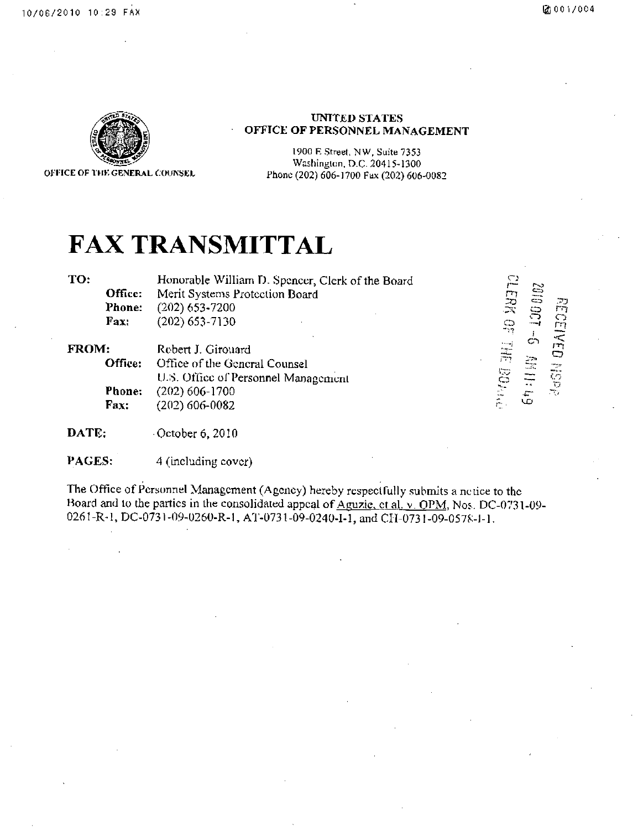*i2 rn*   $\widetilde{\mathbb{R}}$   $\subset$ 

o —  $+$ 

rn  $\sum_{r=1}^{\infty}$ 



UNITED STATES OFFICE OF PERSONNEL MANAGEMENT

1900 R Street. NW, Suite 7353

Washington, D.C- 20415-1300 Phone (202) 606-1700 Fax (202) 606-0082

## **FAX TRANSMITTAL**

**TO:** 

Office: Phone: Fax: Honorable William D. Spencer, Clerk of the Board Merit Systems Protection Board (202) 653-7200 (202)653-7130

FROM: Office: Phone: Fax: Robert J. Girouard Office of the General Counsel U.S. Office of Personnel Management (202) 606-1700 (202) 606-0082

DATE: October 6, 2010

PAGES: 4 (Including cover)

The Office of Personnel Management (Agency) hereby respectfully submits a nciice to the Hoard and to the parties in the consolidated appeal of Aguzie, et al. v, OPM, Nos. DC-0731-09-0261-R-l, DC-0731-09-U260-R-1, AT-0731-09-0240-1-1, and CH-0731-09-0578-1-1.